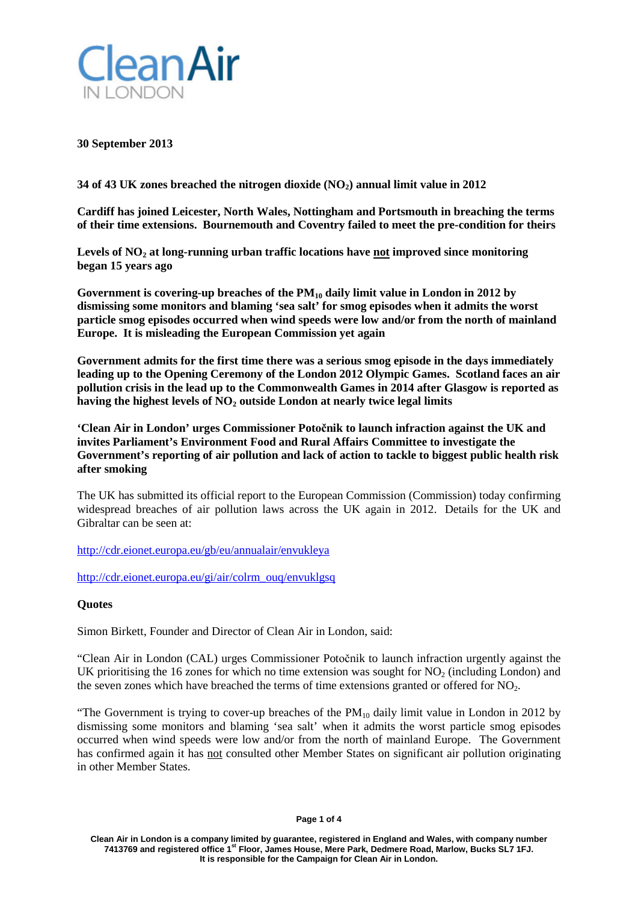

**30 September 2013**

**34 of 43 UK zones breached the nitrogen dioxide (NO2) annual limit value in 2012**

**Cardiff has joined Leicester, North Wales, Nottingham and Portsmouth in breaching the terms of their time extensions. Bournemouth and Coventry failed to meet the pre-condition for theirs**

Levels of NO<sub>2</sub> at long-running urban traffic locations have not improved since monitoring **began 15 years ago**

Government is covering-up breaches of the PM<sub>10</sub> daily limit value in London in 2012 by **dismissing some monitors and blaming 'sea salt' for smog episodes when it admits the worst particle smog episodes occurred when wind speeds were low and/or from the north of mainland Europe. It is misleading the European Commission yet again**

**Government admits for the first time there was a serious smog episode in the days immediately leading up to the Opening Ceremony of the London 2012 Olympic Games. Scotland faces an air pollution crisis in the lead up to the Commonwealth Games in 2014 after Glasgow is reported as** having the highest levels of NO<sub>2</sub> outside London at nearly twice legal limits

**'Clean Air in London' urges Commissioner Potočnik to launch infraction against the UK and invites Parliament's Environment Food and Rural Affairs Committee to investigate the Government's reporting of air pollution and lack of action to tackle to biggest public health risk after smoking**

The UK has submitted its official report to the European Commission (Commission) today confirming widespread breaches of air pollution laws across the UK again in 2012. Details for the UK and Gibraltar can be seen at:

<http://cdr.eionet.europa.eu/gb/eu/annualair/envukleya>

[http://cdr.eionet.europa.eu/gi/air/colrm\\_ouq/envuklgsq](http://cdr.eionet.europa.eu/gi/air/colrm_ouq/envuklgsq)

# **Quotes**

Simon Birkett, Founder and Director of Clean Air in London, said:

"Clean Air in London (CAL) urges Commissioner Potočnik to launch infraction urgently against the UK prioritising the 16 zones for which no time extension was sought for  $NO<sub>2</sub>$  (including London) and the seven zones which have breached the terms of time extensions granted or offered for  $NO<sub>2</sub>$ .

"The Government is trying to cover-up breaches of the  $PM_{10}$  daily limit value in London in 2012 by dismissing some monitors and blaming 'sea salt' when it admits the worst particle smog episodes occurred when wind speeds were low and/or from the north of mainland Europe. The Government has confirmed again it has not consulted other Member States on significant air pollution originating in other Member States.

**Clean Air in London is a company limited by guarantee, registered in England and Wales, with company number 7413769 and registered office 1st Floor, James House, Mere Park, Dedmere Road, Marlow, Bucks SL7 1FJ. It is responsible for the Campaign for Clean Air in London.**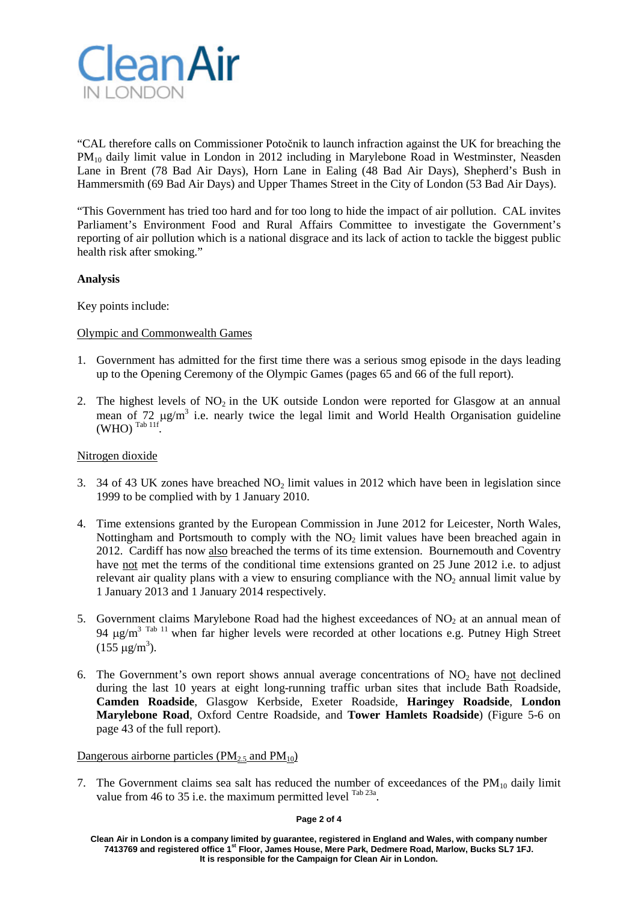

"CAL therefore calls on Commissioner Potočnik to launch infraction against the UK for breaching the PM10 daily limit value in London in 2012 including in Marylebone Road in Westminster, Neasden Lane in Brent (78 Bad Air Days), Horn Lane in Ealing (48 Bad Air Days), Shepherd's Bush in Hammersmith (69 Bad Air Days) and Upper Thames Street in the City of London (53 Bad Air Days).

"This Government has tried too hard and for too long to hide the impact of air pollution. CAL invites Parliament's Environment Food and Rural Affairs Committee to investigate the Government's reporting of air pollution which is a national disgrace and its lack of action to tackle the biggest public health risk after smoking."

# **Analysis**

Key points include:

### Olympic and Commonwealth Games

- 1. Government has admitted for the first time there was a serious smog episode in the days leading up to the Opening Ceremony of the Olympic Games (pages 65 and 66 of the full report).
- 2. The highest levels of  $NO<sub>2</sub>$  in the UK outside London were reported for Glasgow at an annual mean of 72  $\mu$ g/m<sup>3</sup> i.e. nearly twice the legal limit and World Health Organisation guideline  $(WHO)$  <sup>Tab 11f</sup>.

## Nitrogen dioxide

- 3. 34 of 43 UK zones have breached  $NO<sub>2</sub>$  limit values in 2012 which have been in legislation since 1999 to be complied with by 1 January 2010.
- 4. Time extensions granted by the European Commission in June 2012 for Leicester, North Wales, Nottingham and Portsmouth to comply with the  $NO<sub>2</sub>$  limit values have been breached again in 2012. Cardiff has now also breached the terms of its time extension. Bournemouth and Coventry have not met the terms of the conditional time extensions granted on 25 June 2012 i.e. to adjust relevant air quality plans with a view to ensuring compliance with the  $NO<sub>2</sub>$  annual limit value by 1 January 2013 and 1 January 2014 respectively.
- 5. Government claims Marylebone Road had the highest exceedances of  $NO<sub>2</sub>$  at an annual mean of 94  $\mu$ g/m<sup>3 Tab 11</sup> when far higher levels were recorded at other locations e.g. Putney High Street  $(155 \ \mu g/m^3)$ .
- 6. The Government's own report shows annual average concentrations of  $NO<sub>2</sub>$  have not declined during the last 10 years at eight long-running traffic urban sites that include Bath Roadside, **Camden Roadside**, Glasgow Kerbside, Exeter Roadside, **Haringey Roadside**, **London Marylebone Road**, Oxford Centre Roadside, and **Tower Hamlets Roadside**) (Figure 5-6 on page 43 of the full report).

Dangerous airborne particles ( $PM<sub>2.5</sub>$  and  $PM<sub>10</sub>$ )

7. The Government claims sea salt has reduced the number of exceedances of the  $PM_{10}$  daily limit value from 46 to 35 i.e. the maximum permitted level  $^{Tab\ 23a}$ .

### **Page 2 of 4**

**Clean Air in London is a company limited by guarantee, registered in England and Wales, with company number 7413769 and registered office 1st Floor, James House, Mere Park, Dedmere Road, Marlow, Bucks SL7 1FJ. It is responsible for the Campaign for Clean Air in London.**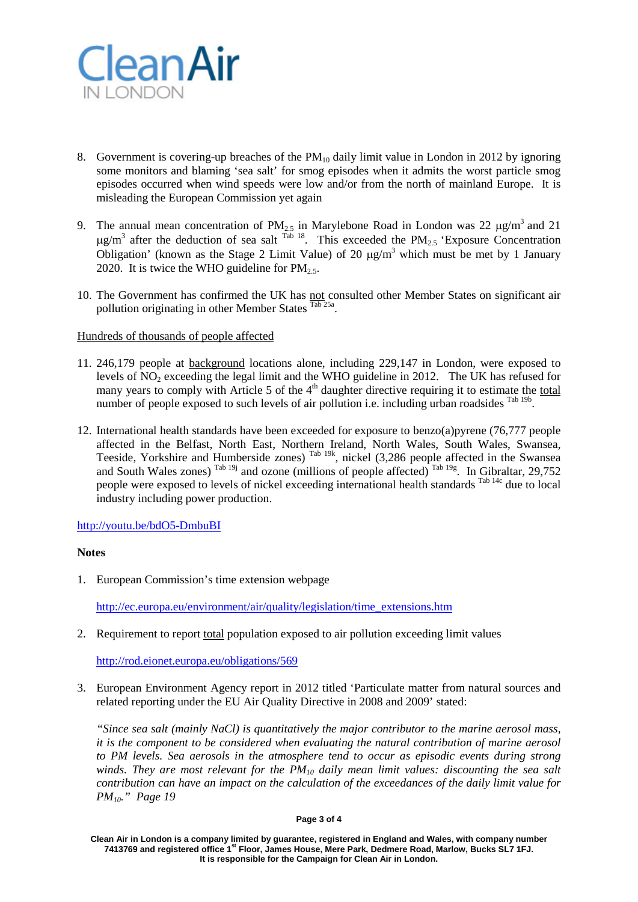

- 8. Government is covering-up breaches of the  $PM_{10}$  daily limit value in London in 2012 by ignoring some monitors and blaming 'sea salt' for smog episodes when it admits the worst particle smog episodes occurred when wind speeds were low and/or from the north of mainland Europe. It is misleading the European Commission yet again
- 9. The annual mean concentration of  $PM_{2.5}$  in Marylebone Road in London was 22  $\mu$ g/m<sup>3</sup> and 21  $\mu$ g/m<sup>3</sup> after the deduction of sea salt <sup>Tab 18</sup>. This exceeded the PM<sub>2.5</sub> 'Exposure Concentration Obligation' (known as the Stage 2 Limit Value) of 20  $\mu$ g/m<sup>3</sup> which must be met by 1 January 2020. It is twice the WHO guideline for  $PM_{2.5}$ .
- 10. The Government has confirmed the UK has not consulted other Member States on significant air pollution originating in other Member States Tab 25a.

### Hundreds of thousands of people affected

- 11. 246,179 people at background locations alone, including 229,147 in London, were exposed to levels of  $NO<sub>2</sub>$  exceeding the legal limit and the WHO guideline in 2012. The UK has refused for many years to comply with Article 5 of the  $4<sup>th</sup>$  daughter directive requiring it to estimate the total number of people exposed to such levels of air pollution i.e. including urban roadsides  $^{Tab 19b}$ .
- 12. International health standards have been exceeded for exposure to benzo(a)pyrene (76,777 people affected in the Belfast, North East, Northern Ireland, North Wales, South Wales, Swansea, Teeside, Yorkshire and Humberside zones)  $^{Tab\ 19k}$ , nickel (3,286 people affected in the Swansea and South Wales zones)  $^{Tab 19j}$  and ozone (millions of people affected)  $^{Tab 19g}$ . In Gibraltar, 29,752 people were exposed to levels of nickel exceeding international health standards <sup>Tab 14c</sup> due to local industry including power production.

### <http://youtu.be/bdO5-DmbuBI>

### **Notes**

1. European Commission's time extension webpage

[http://ec.europa.eu/environment/air/quality/legislation/time\\_extensions.htm](http://ec.europa.eu/environment/air/quality/legislation/time_extensions.htm)

2. Requirement to report total population exposed to air pollution exceeding limit values

<http://rod.eionet.europa.eu/obligations/569>

3. European Environment Agency report in 2012 titled 'Particulate matter from natural sources and related reporting under the EU Air Quality Directive in 2008 and 2009' stated:

*"Since sea salt (mainly NaCl) is quantitatively the major contributor to the marine aerosol mass, it is the component to be considered when evaluating the natural contribution of marine aerosol to PM levels. Sea aerosols in the atmosphere tend to occur as episodic events during strong winds. They are most relevant for the PM10 daily mean limit values: discounting the sea salt contribution can have an impact on the calculation of the exceedances of the daily limit value for PM10." Page 19*

#### **Page 3 of 4**

**Clean Air in London is a company limited by guarantee, registered in England and Wales, with company number 7413769 and registered office 1st Floor, James House, Mere Park, Dedmere Road, Marlow, Bucks SL7 1FJ. It is responsible for the Campaign for Clean Air in London.**